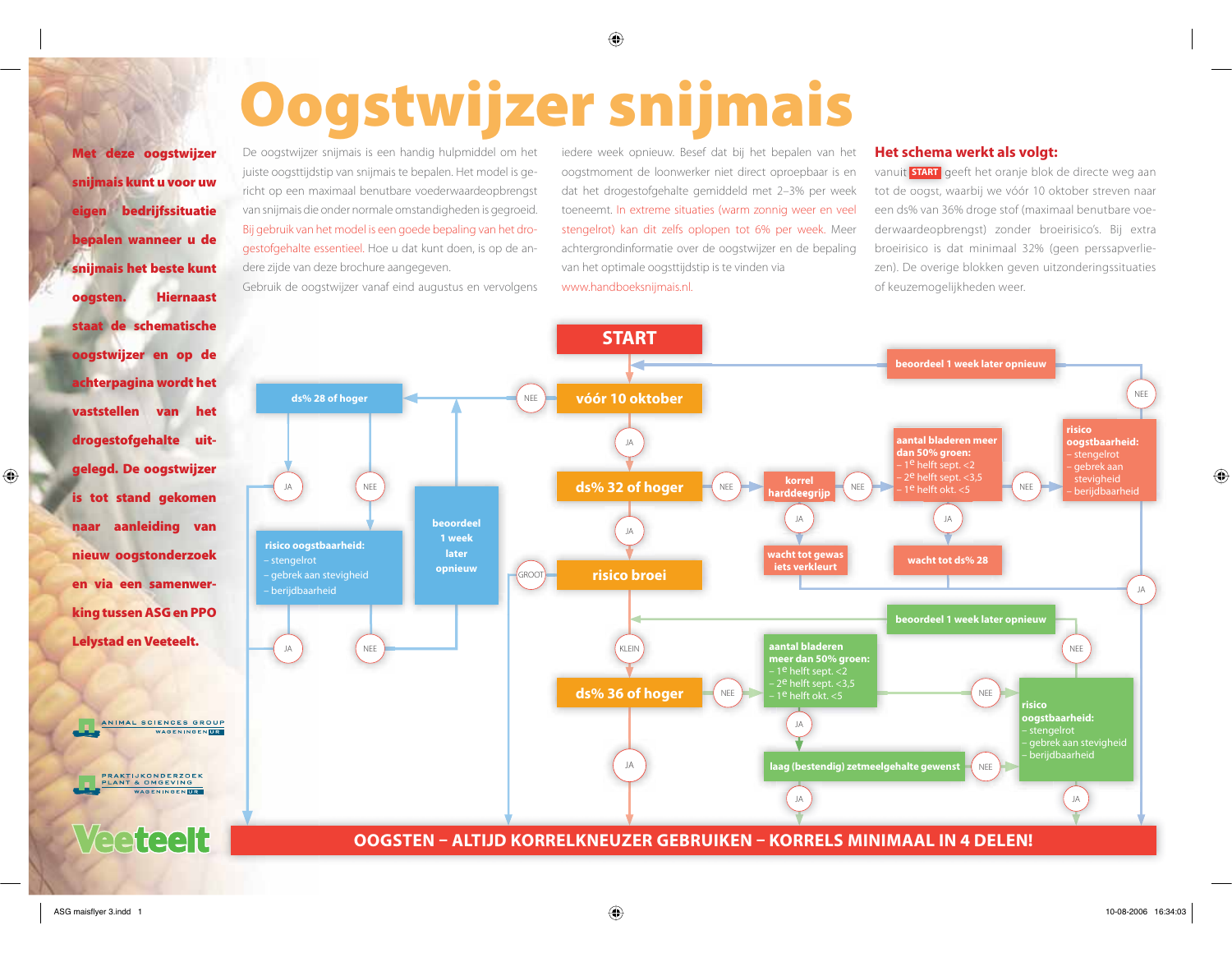# Oogstwijzer snijmais

Met deze oogstwijzer sniimais kunt u voor uw bedriifssituatie eigen bepalen wanneer u de snijmais het beste kunt **Hiernaast** oogsten. staat de schematische oogstwijzer en op de achterpagina wordt het vaststellen van het drogestofgehalte uitgelegd. De oogstwijzer is tot stand gekomen naar aanleiding van nieuw oogstonderzoek en via een samenwerking tussen ASG en PPO Lelystad en Veeteelt.

De oogstwijzer snijmais is een handig hulpmiddel om het juiste oogsttijdstip van snijmajs te bepalen. Het model is gericht op een maximaal benutbare voederwaardeopbrengst van snijmais die onder normale omstandigheden is gegroeid. Bij gebruik van het model is een goede bepaling van het drogestofgehalte essentieel. Hoe u dat kunt doen, is op de andere zijde van deze brochure aangegeven.

Gebruik de oogstwijzer vanaf eind augustus en vervolgens

iedere week opnieuw. Besef dat bij het bepalen van het oogstmoment de loonwerker niet direct oproepbaar is en dat het drogestofgehalte gemiddeld met 2-3% per week toeneemt. In extreme situaties (warm zonnig weer en veel stengelrot) kan dit zelfs oplopen tot 6% per week. Meer achtergrondinformatie over de oogstwijzer en de bepaling van het optimale oogsttijdstip is te vinden via www.handboeksnijmais.nl.

## Het schema werkt als volgt:

vanuit **START** geeft het oranje blok de directe weg aan tot de oogst, waarbij we vóór 10 oktober streven naar een ds% van 36% droge stof (maximaal benutbare voederwaardeopbrengst) zonder broeirisico's. Bij extra broeirisico is dat minimaal 32% (geen perssapverliezen). De overige blokken geven uitzonderingssituaties of keuzemogelijkheden weer.